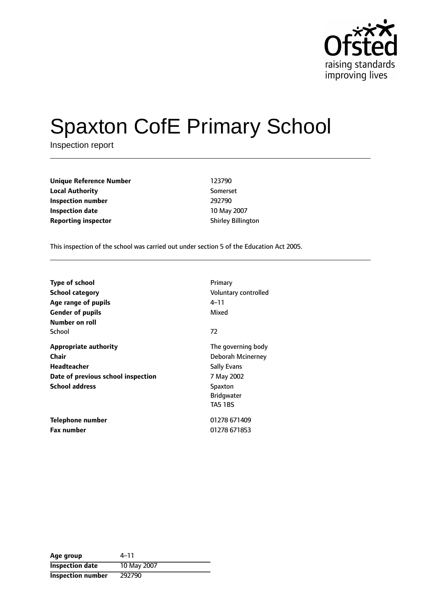

# Spaxton CofE Primary School

Inspection report

**Unique Reference Number** 123790 **Local Authority** Somerset **Inspection number** 292790 **Inspection date** 10 May 2007 **Reporting inspector** Shirley Billington

This inspection of the school was carried out under section 5 of the Education Act 2005.

| <b>Type of school</b><br><b>School category</b><br>Age range of pupils<br><b>Gender of pupils</b><br>Number on roll        | Primary<br>Voluntary controlled<br>4–11<br>Mixed                                                                              |
|----------------------------------------------------------------------------------------------------------------------------|-------------------------------------------------------------------------------------------------------------------------------|
| School                                                                                                                     | 72                                                                                                                            |
| <b>Appropriate authority</b><br>Chair<br><b>Headteacher</b><br>Date of previous school inspection<br><b>School address</b> | The governing body<br>Deborah Mcinerney<br><b>Sally Evans</b><br>7 May 2002<br>Spaxton<br><b>Bridgwater</b><br><b>TA5 1BS</b> |
| <b>Telephone number</b><br><b>Fax number</b>                                                                               | 01278 671409<br>01278 671853                                                                                                  |

| Age group                | 4–11        |
|--------------------------|-------------|
| <b>Inspection date</b>   | 10 May 2007 |
| <b>Inspection number</b> | 292790      |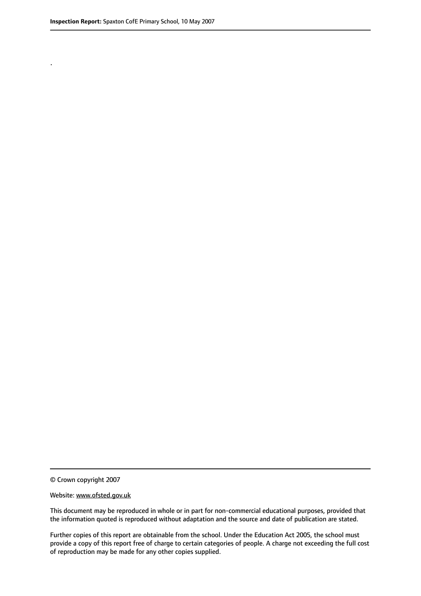.

© Crown copyright 2007

#### Website: www.ofsted.gov.uk

This document may be reproduced in whole or in part for non-commercial educational purposes, provided that the information quoted is reproduced without adaptation and the source and date of publication are stated.

Further copies of this report are obtainable from the school. Under the Education Act 2005, the school must provide a copy of this report free of charge to certain categories of people. A charge not exceeding the full cost of reproduction may be made for any other copies supplied.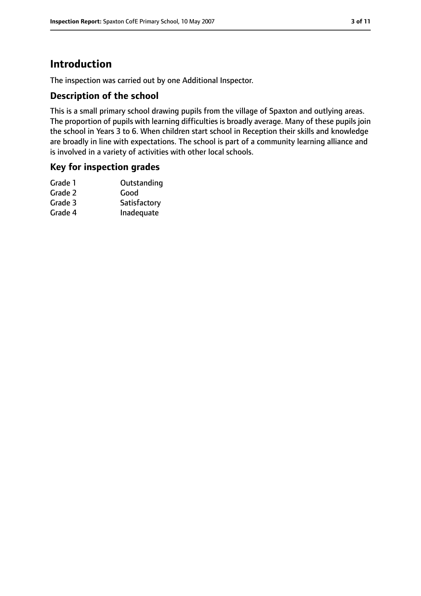# **Introduction**

The inspection was carried out by one Additional Inspector.

## **Description of the school**

This is a small primary school drawing pupils from the village of Spaxton and outlying areas. The proportion of pupils with learning difficulties is broadly average. Many of these pupils join the school in Years 3 to 6. When children start school in Reception their skills and knowledge are broadly in line with expectations. The school is part of a community learning alliance and is involved in a variety of activities with other local schools.

## **Key for inspection grades**

| Outstanding  |
|--------------|
| Good         |
| Satisfactory |
| Inadequate   |
|              |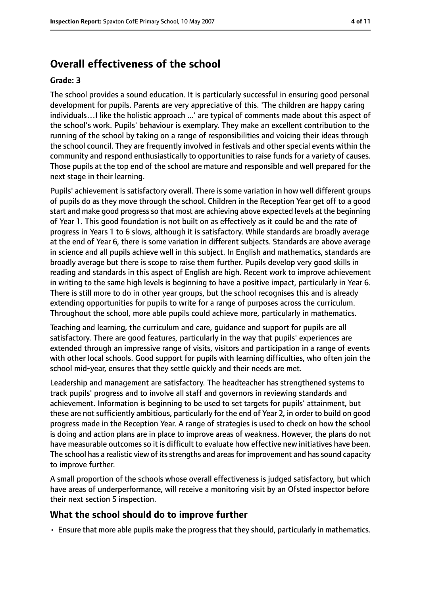# **Overall effectiveness of the school**

#### **Grade: 3**

The school provides a sound education. It is particularly successful in ensuring good personal development for pupils. Parents are very appreciative of this. 'The children are happy caring individuals…I like the holistic approach ...' are typical of comments made about this aspect of the school's work. Pupils' behaviour is exemplary. They make an excellent contribution to the running of the school by taking on a range of responsibilities and voicing their ideas through the school council. They are frequently involved in festivals and other special events within the community and respond enthusiastically to opportunities to raise funds for a variety of causes. Those pupils at the top end of the school are mature and responsible and well prepared for the next stage in their learning.

Pupils' achievement is satisfactory overall. There is some variation in how well different groups of pupils do as they move through the school. Children in the Reception Year get off to a good start and make good progressso that most are achieving above expected levels at the beginning of Year 1. This good foundation is not built on as effectively as it could be and the rate of progress in Years 1 to 6 slows, although it is satisfactory. While standards are broadly average at the end of Year 6, there is some variation in different subjects. Standards are above average in science and all pupils achieve well in this subject. In English and mathematics, standards are broadly average but there is scope to raise them further. Pupils develop very good skills in reading and standards in this aspect of English are high. Recent work to improve achievement in writing to the same high levels is beginning to have a positive impact, particularly in Year 6. There is still more to do in other year groups, but the school recognises this and is already extending opportunities for pupils to write for a range of purposes across the curriculum. Throughout the school, more able pupils could achieve more, particularly in mathematics.

Teaching and learning, the curriculum and care, guidance and support for pupils are all satisfactory. There are good features, particularly in the way that pupils' experiences are extended through an impressive range of visits, visitors and participation in a range of events with other local schools. Good support for pupils with learning difficulties, who often join the school mid-year, ensures that they settle quickly and their needs are met.

Leadership and management are satisfactory. The headteacher has strengthened systems to track pupils' progress and to involve all staff and governors in reviewing standards and achievement. Information is beginning to be used to set targets for pupils' attainment, but these are not sufficiently ambitious, particularly for the end of Year 2, in order to build on good progress made in the Reception Year. A range of strategies is used to check on how the school is doing and action plans are in place to improve areas of weakness. However, the plans do not have measurable outcomes so it is difficult to evaluate how effective new initiatives have been. The school has a realistic view of its strengths and areas for improvement and has sound capacity to improve further.

A small proportion of the schools whose overall effectiveness is judged satisfactory, but which have areas of underperformance, will receive a monitoring visit by an Ofsted inspector before their next section 5 inspection.

## **What the school should do to improve further**

• Ensure that more able pupils make the progressthat they should, particularly in mathematics.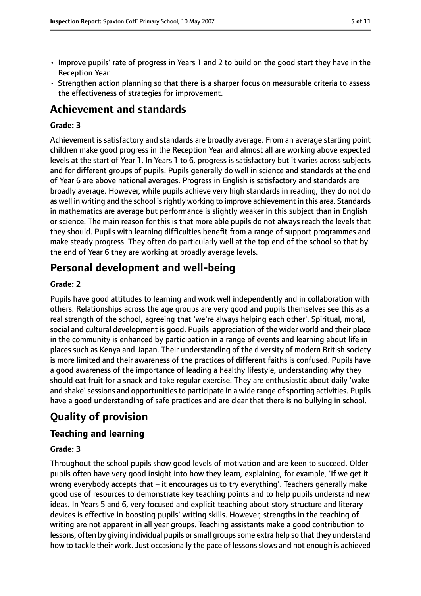- Improve pupils' rate of progress in Years 1 and 2 to build on the good start they have in the Reception Year.
- Strengthen action planning so that there is a sharper focus on measurable criteria to assess the effectiveness of strategies for improvement.

# **Achievement and standards**

### **Grade: 3**

Achievement is satisfactory and standards are broadly average. From an average starting point children make good progress in the Reception Year and almost all are working above expected levels at the start of Year 1. In Years 1 to 6, progress is satisfactory but it varies across subjects and for different groups of pupils. Pupils generally do well in science and standards at the end of Year 6 are above national averages. Progress in English is satisfactory and standards are broadly average. However, while pupils achieve very high standards in reading, they do not do as well in writing and the school is rightly working to improve achievement in this area. Standards in mathematics are average but performance is slightly weaker in this subject than in English or science. The main reason for this is that more able pupils do not always reach the levels that they should. Pupils with learning difficulties benefit from a range of support programmes and make steady progress. They often do particularly well at the top end of the school so that by the end of Year 6 they are working at broadly average levels.

# **Personal development and well-being**

#### **Grade: 2**

Pupils have good attitudes to learning and work well independently and in collaboration with others. Relationships across the age groups are very good and pupils themselves see this as a real strength of the school, agreeing that 'we're always helping each other'. Spiritual, moral, social and cultural development is good. Pupils' appreciation of the wider world and their place in the community is enhanced by participation in a range of events and learning about life in places such as Kenya and Japan. Their understanding of the diversity of modern British society is more limited and their awareness of the practices of different faiths is confused. Pupils have a good awareness of the importance of leading a healthy lifestyle, understanding why they should eat fruit for a snack and take regular exercise. They are enthusiastic about daily 'wake and shake' sessions and opportunities to participate in a wide range of sporting activities. Pupils have a good understanding of safe practices and are clear that there is no bullying in school.

# **Quality of provision**

## **Teaching and learning**

#### **Grade: 3**

Throughout the school pupils show good levels of motivation and are keen to succeed. Older pupils often have very good insight into how they learn, explaining, for example, 'If we get it wrong everybody accepts that  $-$  it encourages us to try everything'. Teachers generally make good use of resources to demonstrate key teaching points and to help pupils understand new ideas. In Years 5 and 6, very focused and explicit teaching about story structure and literary devices is effective in boosting pupils' writing skills. However, strengths in the teaching of writing are not apparent in all year groups. Teaching assistants make a good contribution to lessons, often by giving individual pupils or small groups some extra help so that they understand how to tackle their work. Just occasionally the pace of lessons slows and not enough is achieved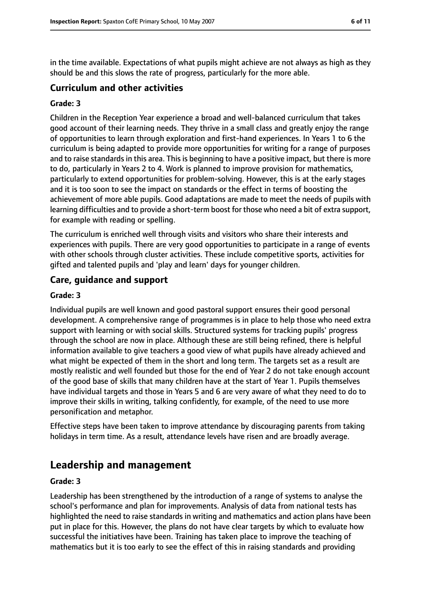in the time available. Expectations of what pupils might achieve are not always as high as they should be and this slows the rate of progress, particularly for the more able.

## **Curriculum and other activities**

#### **Grade: 3**

Children in the Reception Year experience a broad and well-balanced curriculum that takes good account of their learning needs. They thrive in a small class and greatly enjoy the range of opportunities to learn through exploration and first-hand experiences. In Years 1 to 6 the curriculum is being adapted to provide more opportunities for writing for a range of purposes and to raise standards in this area. This is beginning to have a positive impact, but there is more to do, particularly in Years 2 to 4. Work is planned to improve provision for mathematics, particularly to extend opportunities for problem-solving. However, this is at the early stages and it is too soon to see the impact on standards or the effect in terms of boosting the achievement of more able pupils. Good adaptations are made to meet the needs of pupils with learning difficulties and to provide a short-term boost for those who need a bit of extra support, for example with reading or spelling.

The curriculum is enriched well through visits and visitors who share their interests and experiences with pupils. There are very good opportunities to participate in a range of events with other schools through cluster activities. These include competitive sports, activities for gifted and talented pupils and 'play and learn' days for younger children.

#### **Care, guidance and support**

#### **Grade: 3**

Individual pupils are well known and good pastoral support ensures their good personal development. A comprehensive range of programmes is in place to help those who need extra support with learning or with social skills. Structured systems for tracking pupils' progress through the school are now in place. Although these are still being refined, there is helpful information available to give teachers a good view of what pupils have already achieved and what might be expected of them in the short and long term. The targets set as a result are mostly realistic and well founded but those for the end of Year 2 do not take enough account of the good base of skills that many children have at the start of Year 1. Pupils themselves have individual targets and those in Years 5 and 6 are very aware of what they need to do to improve their skills in writing, talking confidently, for example, of the need to use more personification and metaphor.

Effective steps have been taken to improve attendance by discouraging parents from taking holidays in term time. As a result, attendance levels have risen and are broadly average.

# **Leadership and management**

#### **Grade: 3**

Leadership has been strengthened by the introduction of a range of systems to analyse the school's performance and plan for improvements. Analysis of data from national tests has highlighted the need to raise standards in writing and mathematics and action plans have been put in place for this. However, the plans do not have clear targets by which to evaluate how successful the initiatives have been. Training has taken place to improve the teaching of mathematics but it is too early to see the effect of this in raising standards and providing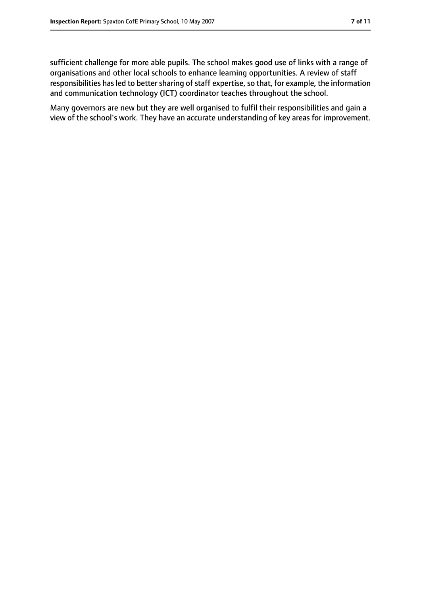sufficient challenge for more able pupils. The school makes good use of links with a range of organisations and other local schools to enhance learning opportunities. A review of staff responsibilities has led to better sharing of staff expertise, so that, for example, the information and communication technology (ICT) coordinator teaches throughout the school.

Many governors are new but they are well organised to fulfil their responsibilities and gain a view of the school's work. They have an accurate understanding of key areas for improvement.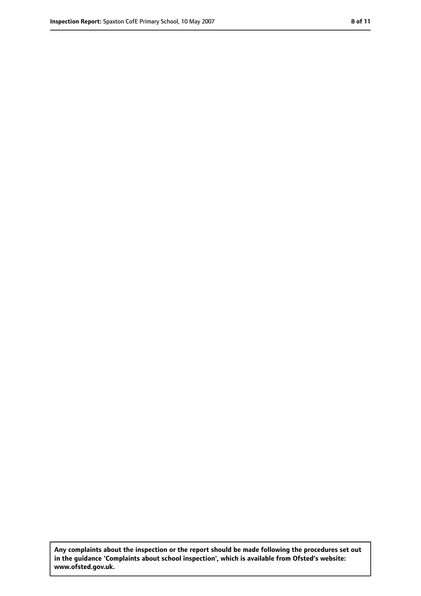**Any complaints about the inspection or the report should be made following the procedures set out in the guidance 'Complaints about school inspection', which is available from Ofsted's website: www.ofsted.gov.uk.**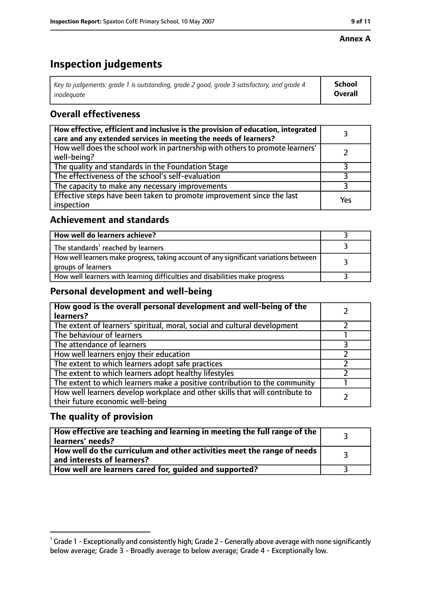#### **Annex A**

# **Inspection judgements**

| Key to judgements: grade 1 is outstanding, grade 2 good, grade 3 satisfactory, and grade 4 $\,$ | <b>School</b>  |
|-------------------------------------------------------------------------------------------------|----------------|
| inadequate                                                                                      | <b>Overall</b> |

# **Overall effectiveness**

| How effective, efficient and inclusive is the provision of education, integrated<br>care and any extended services in meeting the needs of learners? |     |
|------------------------------------------------------------------------------------------------------------------------------------------------------|-----|
| How well does the school work in partnership with others to promote learners'<br>well-being?                                                         |     |
| The quality and standards in the Foundation Stage                                                                                                    |     |
| The effectiveness of the school's self-evaluation                                                                                                    |     |
| The capacity to make any necessary improvements                                                                                                      |     |
| Effective steps have been taken to promote improvement since the last<br>inspection                                                                  | Yes |

## **Achievement and standards**

| How well do learners achieve?                                                                               |  |
|-------------------------------------------------------------------------------------------------------------|--|
| The standards <sup>1</sup> reached by learners                                                              |  |
| How well learners make progress, taking account of any significant variations between<br>groups of learners |  |
| How well learners with learning difficulties and disabilities make progress                                 |  |

## **Personal development and well-being**

| How good is the overall personal development and well-being of the<br>learners?                                  |  |
|------------------------------------------------------------------------------------------------------------------|--|
| The extent of learners' spiritual, moral, social and cultural development                                        |  |
| The behaviour of learners                                                                                        |  |
| The attendance of learners                                                                                       |  |
| How well learners enjoy their education                                                                          |  |
| The extent to which learners adopt safe practices                                                                |  |
| The extent to which learners adopt healthy lifestyles                                                            |  |
| The extent to which learners make a positive contribution to the community                                       |  |
| How well learners develop workplace and other skills that will contribute to<br>their future economic well-being |  |

## **The quality of provision**

| How effective are teaching and learning in meeting the full range of the<br>learners' needs?          |  |
|-------------------------------------------------------------------------------------------------------|--|
| How well do the curriculum and other activities meet the range of needs<br>and interests of learners? |  |
| How well are learners cared for, guided and supported?                                                |  |

 $^1$  Grade 1 - Exceptionally and consistently high; Grade 2 - Generally above average with none significantly below average; Grade 3 - Broadly average to below average; Grade 4 - Exceptionally low.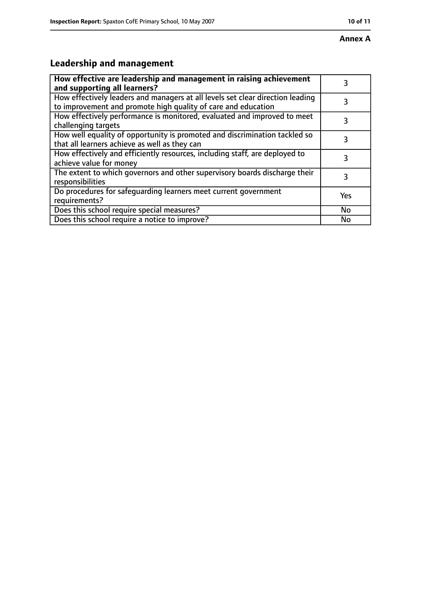# **Leadership and management**

| How effective are leadership and management in raising achievement<br>and supporting all learners?                                              | 3   |
|-------------------------------------------------------------------------------------------------------------------------------------------------|-----|
| How effectively leaders and managers at all levels set clear direction leading<br>to improvement and promote high quality of care and education |     |
| How effectively performance is monitored, evaluated and improved to meet<br>challenging targets                                                 | 3   |
| How well equality of opportunity is promoted and discrimination tackled so<br>that all learners achieve as well as they can                     | 3   |
| How effectively and efficiently resources, including staff, are deployed to<br>achieve value for money                                          | 3   |
| The extent to which governors and other supervisory boards discharge their<br>responsibilities                                                  | 3   |
| Do procedures for safequarding learners meet current government<br>requirements?                                                                | Yes |
| Does this school require special measures?                                                                                                      | No  |
| Does this school require a notice to improve?                                                                                                   | No  |